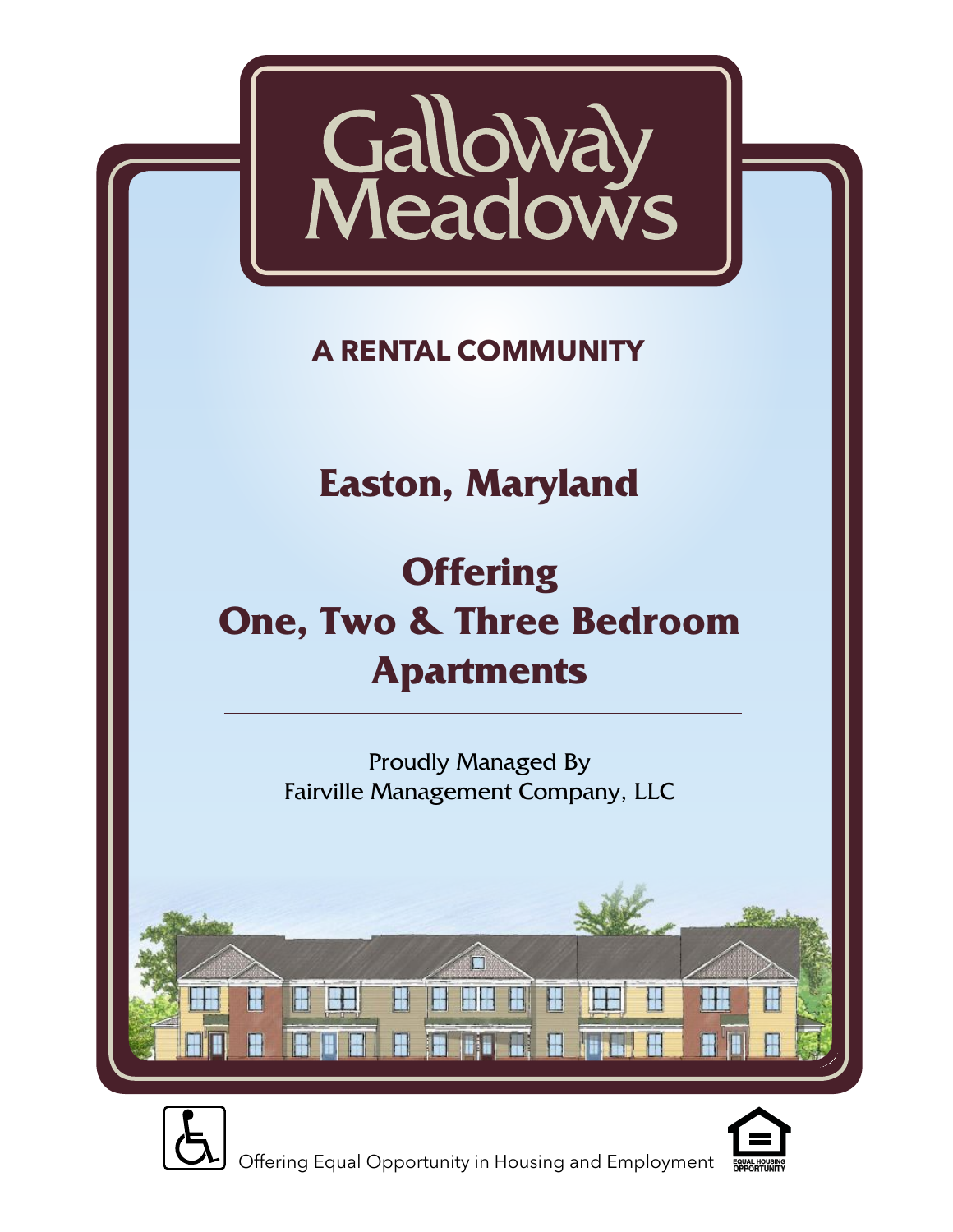

## **A RENTAL COMMUNITY**

# **Easton, Maryland**

# **Offering One, Two & Three Bedroom Apartments**

Proudly Managed By Fairville Management Company, LLC





Offering Equal Opportunity in Housing and Employment

H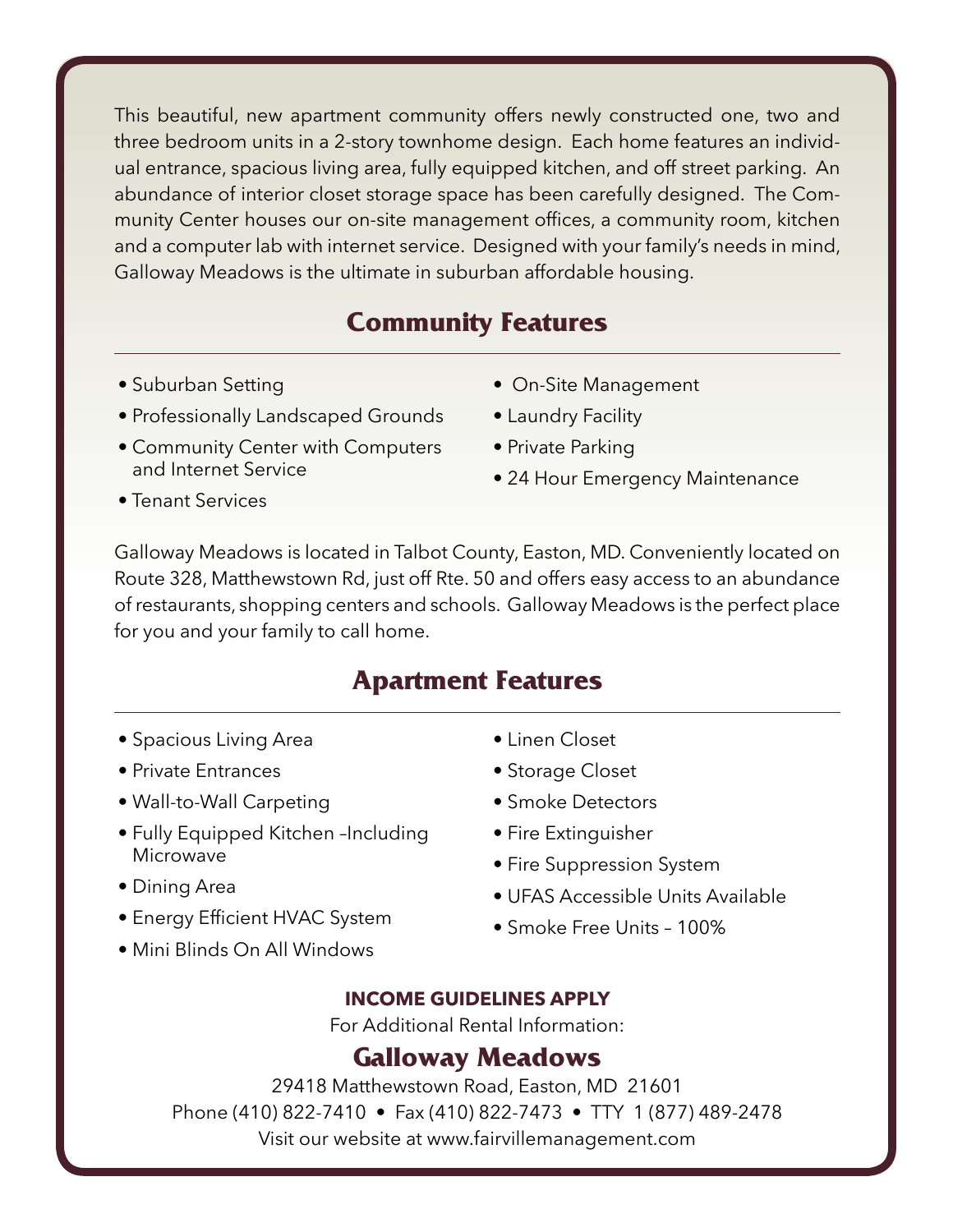This beautiful, new apartment community offers newly constructed one, two and three bedroom units in a 2-story townhome design. Each home features an individual entrance, spacious living area, fully equipped kitchen, and off street parking. An abundance of interior closet storage space has been carefully designed. The Community Center houses our on-site management offices, a community room, kitchen and a computer lab with internet service. Designed with your family's needs in mind, Galloway Meadows is the ultimate in suburban affordable housing.

## **Community Features**

- Suburban Setting
- Professionally Landscaped Grounds
- Community Center with Computers and Internet Service
- On-Site Management
- Laundry Facility
- Private Parking
- 24 Hour Emergency Maintenance

• Tenant Services

Galloway Meadows is located in Talbot County, Easton, MD. Conveniently located on Route 328, Matthewstown Rd, just off Rte. 50 and offers easy access to an abundance of restaurants, shopping centers and schools. Galloway Meadows is the perfect place for you and your family to call home.

### **Apartment Features**

- Spacious Living Area
- Private Entrances
- Wall-to-Wall Carpeting
- Fully Equipped Kitchen –Including Microwave
- Dining Area
- Energy Efficient HVAC System
- Mini Blinds On All Windows
- Linen Closet
- Storage Closet
- Smoke Detectors
- Fire Extinguisher
- Fire Suppression System
- UFAS Accessible Units Available
- Smoke Free Units 100%

#### **INCOME GUIDELINES APPLY**

For Additional Rental Information:

#### **Galloway Meadows**

29418 Matthewstown Road, Easton, MD 21601 Phone (410) 822-7410 • Fax (410) 822-7473 • TTY 1 (877) 489-2478 Visit our website at www.fairvillemanagement.com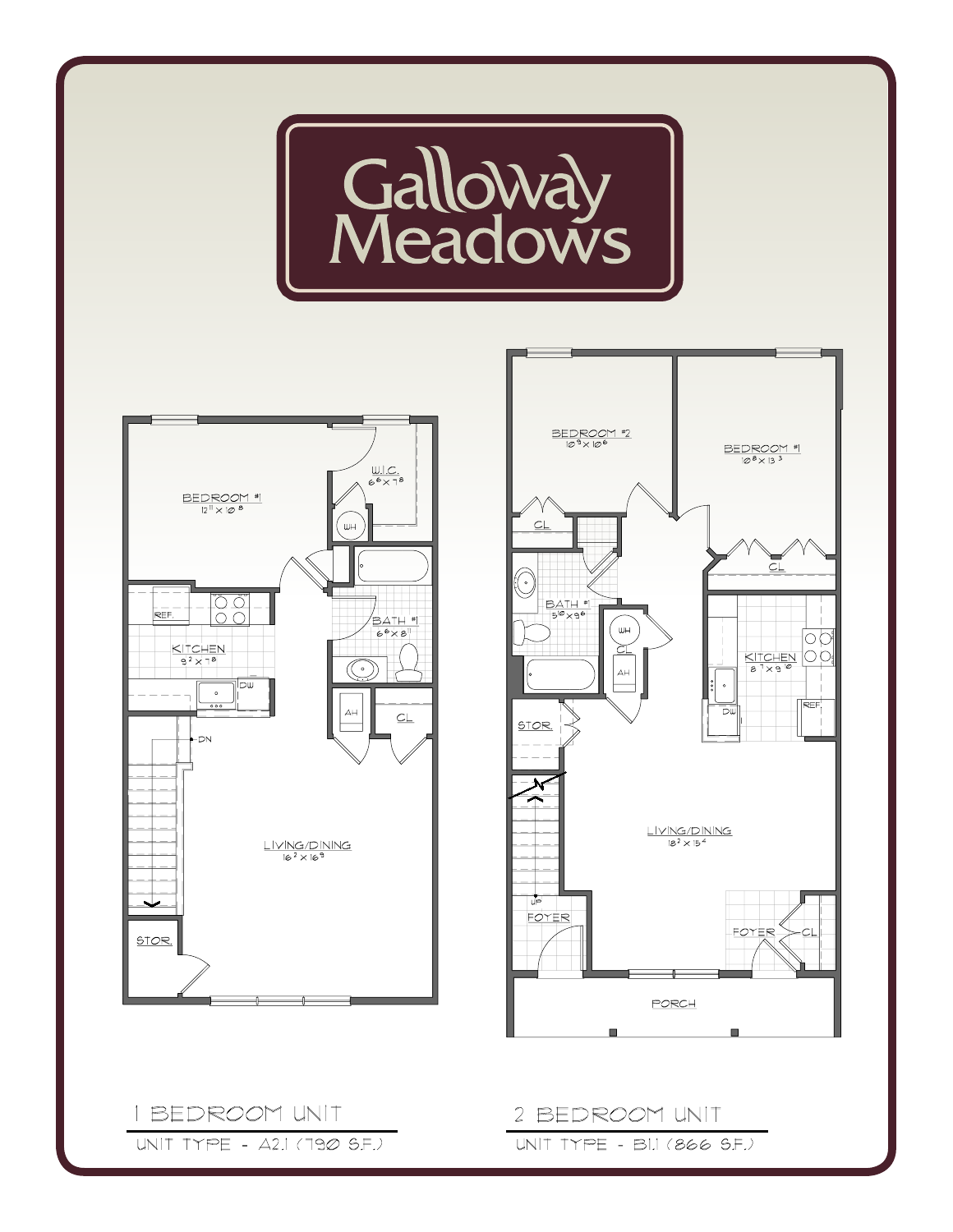





I BEDROOM UNIT UNIT TYPE - A2.1 (790 S.F.)

#### 2 BEDROOM UNIT UNIT TYPE - BIJ (866 S.F.)